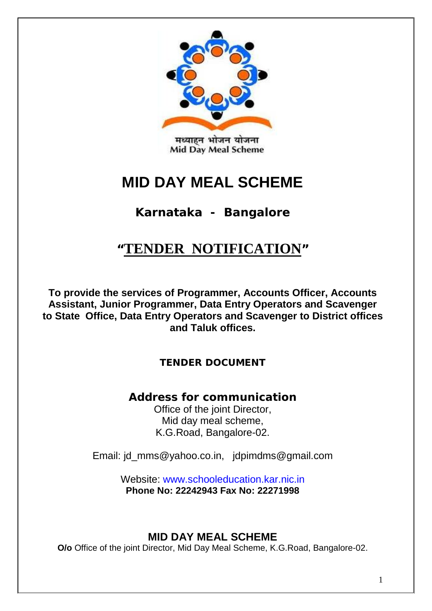

# **MID DAY MEAL SCHEME**

## **Karnataka - Bangalore**

# **"TENDER NOTIFICATION"**

**To provide the services of Programmer, Accounts Officer, Accounts Assistant, Junior Programmer, Data Entry Operators and Scavenger to State Office, Data Entry Operators and Scavenger to District offices and Taluk offices.**

## *TENDER DOCUMENT*

## *Address for communication*

Office of the joint Director, Mid day meal scheme, K.G.Road, Bangalore-02.

Email: id\_mms@yahoo.co.in, idpimdms@gmail.com

Website: www.schooleducation.kar.nic.in **Phone No: 22242943 Fax No: 22271998**

## **MID DAY MEAL SCHEME**

**O/o** Office of the joint Director, Mid Day Meal Scheme, K.G.Road, Bangalore-02.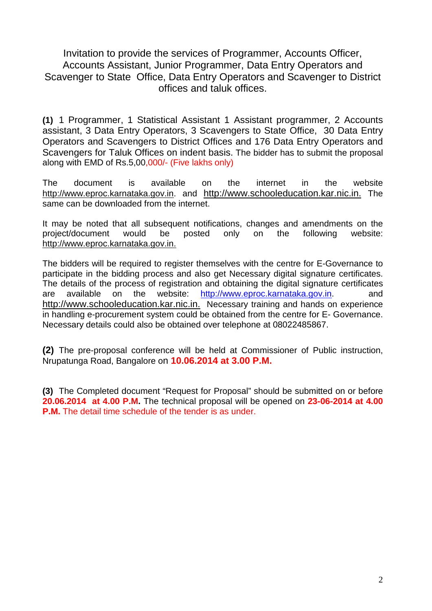Invitation to provide the services of Programmer, Accounts Officer, Accounts Assistant, Junior Programmer, Data Entry Operators and Scavenger to State Office, Data Entry Operators and Scavenger to District offices and taluk offices.

**(1)** 1 Programmer, 1 Statistical Assistant 1 Assistant programmer, 2 Accounts assistant, 3 Data Entry Operators, 3 Scavengers to State Office, 30 Data Entry Operators and Scavengers to District Offices and 176 Data Entry Operators and Scavengers for Taluk Offices on indent basis. The bidder has to submit the proposal along with EMD of Rs.5,00,000/- (Five lakhs only)

The document is available on the internet in the website http://www.eproc.karnataka.gov.in. and http://www.schooleducation.kar.nic.in. The same can be downloaded from the internet.

It may be noted that all subsequent notifications, changes and amendments on the project/document would be posted only on the following website: http://www.eproc.karnataka.gov.in.

The bidders will be required to register themselves with the centre for E-Governance to participate in the bidding process and also get Necessary digital signature certificates. The details of the process of registration and obtaining the digital signature certificates are available on the website: [http://www.eproc.karnataka.gov.in.](http://www.eproc.karnataka.gov.in/) and http://www.schooleducation.kar.nic.in. Necessary training and hands on experience in handling e-procurement system could be obtained from the centre for E- Governance. Necessary details could also be obtained over telephone at 08022485867.

**(2)** The pre-proposal conference will be held at Commissioner of Public instruction, Nrupatunga Road, Bangalore on **10.06.2014 at 3.00 P.M.**

**(3)** The Completed document "Request for Proposal" should be submitted on or before **20.06.2014 at 4.00 P.M.** The technical proposal will be opened on **23-06-2014 at 4.00 P.M.** The detail time schedule of the tender is as under.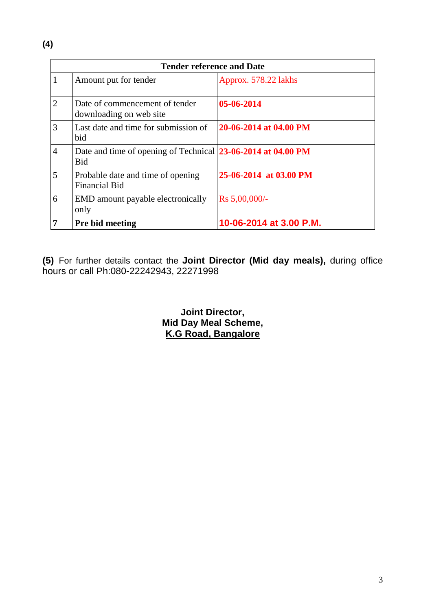|   | <b>Tender reference and Date</b>                                           |                         |  |  |  |
|---|----------------------------------------------------------------------------|-------------------------|--|--|--|
|   | Amount put for tender                                                      | Approx. 578.22 lakhs    |  |  |  |
| 2 | Date of commencement of tender<br>downloading on web site                  | 05-06-2014              |  |  |  |
| 3 | Last date and time for submission of<br>bid                                | 20-06-2014 at 04.00 PM  |  |  |  |
| 4 | Date and time of opening of Technical 23-06-2014 at 04.00 PM<br><b>Bid</b> |                         |  |  |  |
| 5 | Probable date and time of opening<br><b>Financial Bid</b>                  | 25-06-2014 at 03.00 PM  |  |  |  |
| 6 | EMD amount payable electronically<br>only                                  | Rs 5,00,000/-           |  |  |  |
|   | <b>Pre bid meeting</b>                                                     | 10-06-2014 at 3.00 P.M. |  |  |  |

**(5)** For further details contact the **Joint Director (Mid day meals),** during office hours or call Ph:080-22242943, 22271998

> **Joint Director, Mid Day Meal Scheme, K.G Road, Bangalore**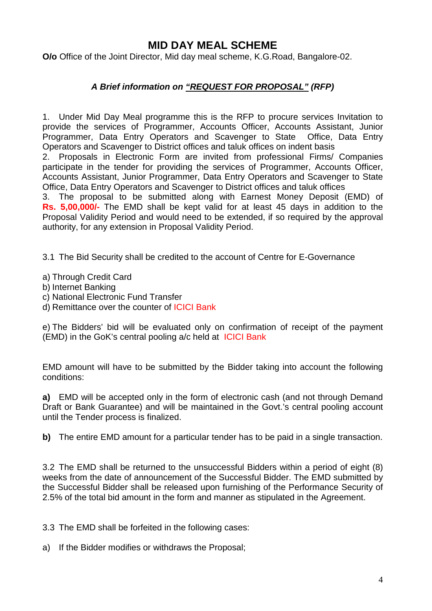## **MID DAY MEAL SCHEME**

**O/o** Office of the Joint Director, Mid day meal scheme, K.G.Road, Bangalore-02.

## *A Brief information on "REQUEST FOR PROPOSAL" (RFP)*

1. Under Mid Day Meal programme this is the RFP to procure services Invitation to provide the services of Programmer, Accounts Officer, Accounts Assistant, Junior Programmer, Data Entry Operators and Scavenger to State Office, Data Entry Operators and Scavenger to District offices and taluk offices on indent basis

2. Proposals in Electronic Form are invited from professional Firms/ Companies participate in the tender for providing the services of Programmer, Accounts Officer, Accounts Assistant, Junior Programmer, Data Entry Operators and Scavenger to State Office, Data Entry Operators and Scavenger to District offices and taluk offices

3. The proposal to be submitted along with Earnest Money Deposit (EMD) of **Rs. 5,00,000/-** The EMD shall be kept valid for at least 45 days in addition to the Proposal Validity Period and would need to be extended, if so required by the approval authority, for any extension in Proposal Validity Period.

3.1 The Bid Security shall be credited to the account of Centre for E-Governance

a) Through Credit Card

- b) Internet Banking
- c) National Electronic Fund Transfer
- d) Remittance over the counter of ICICI Bank

e) The Bidders' bid will be evaluated only on confirmation of receipt of the payment (EMD) in the GoK's central pooling a/c held at ICICI Bank

EMD amount will have to be submitted by the Bidder taking into account the following conditions:

**a)** EMD will be accepted only in the form of electronic cash (and not through Demand Draft or Bank Guarantee) and will be maintained in the Govt.'s central pooling account until the Tender process is finalized.

**b)** The entire EMD amount for a particular tender has to be paid in a single transaction.

3.2 The EMD shall be returned to the unsuccessful Bidders within a period of eight (8) weeks from the date of announcement of the Successful Bidder. The EMD submitted by the Successful Bidder shall be released upon furnishing of the Performance Security of 2.5% of the total bid amount in the form and manner as stipulated in the Agreement.

3.3 The EMD shall be forfeited in the following cases:

a) If the Bidder modifies or withdraws the Proposal;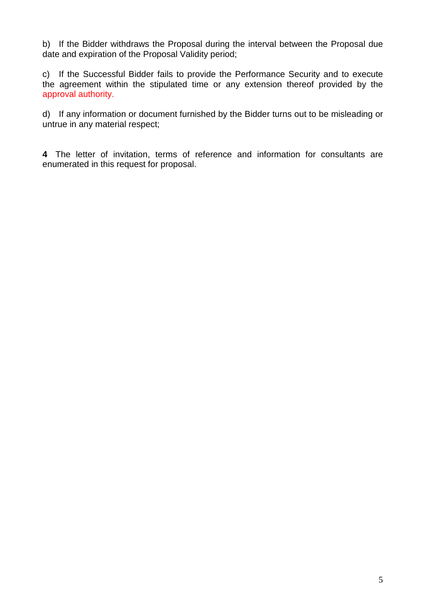b) If the Bidder withdraws the Proposal during the interval between the Proposal due date and expiration of the Proposal Validity period;

c) If the Successful Bidder fails to provide the Performance Security and to execute the agreement within the stipulated time or any extension thereof provided by the approval authority.

d) If any information or document furnished by the Bidder turns out to be misleading or untrue in any material respect;

**4** The letter of invitation, terms of reference and information for consultants are enumerated in this request for proposal.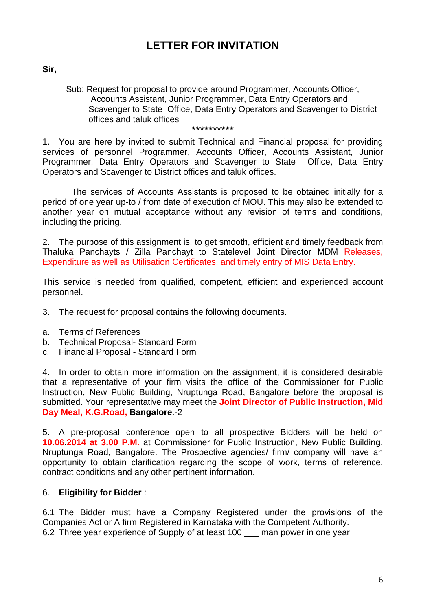## **LETTER FOR INVITATION**

**Sir,** 

Sub: Request for proposal to provide around Programmer, Accounts Officer, Accounts Assistant, Junior Programmer, Data Entry Operators and Scavenger to State Office, Data Entry Operators and Scavenger to District offices and taluk offices

\*\*\*\*\*\*\*\*\*\*

1. You are here by invited to submit Technical and Financial proposal for providing services of personnel Programmer, Accounts Officer, Accounts Assistant, Junior Programmer, Data Entry Operators and Scavenger to State Office, Data Entry Operators and Scavenger to District offices and taluk offices.

 The services of Accounts Assistants is proposed to be obtained initially for a period of one year up-to / from date of execution of MOU. This may also be extended to another year on mutual acceptance without any revision of terms and conditions, including the pricing.

2. The purpose of this assignment is, to get smooth, efficient and timely feedback from Thaluka Panchayts / Zilla Panchayt to Statelevel Joint Director MDM Releases, Expenditure as well as Utilisation Certificates, and timely entry of MIS Data Entry.

This service is needed from qualified, competent, efficient and experienced account personnel.

- 3. The request for proposal contains the following documents.
- a. Terms of References
- b. Technical Proposal- Standard Form
- c. Financial Proposal Standard Form

4. In order to obtain more information on the assignment, it is considered desirable that a representative of your firm visits the office of the Commissioner for Public Instruction, New Public Building, Nruptunga Road, Bangalore before the proposal is submitted. Your representative may meet the **Joint Director of Public Instruction, Mid Day Meal, K.G.Road, Bangalore**.-2

5. A pre-proposal conference open to all prospective Bidders will be held on **10.06**.**2014 at 3.00 P.M.** at Commissioner for Public Instruction, New Public Building, Nruptunga Road, Bangalore. The Prospective agencies/ firm/ company will have an opportunity to obtain clarification regarding the scope of work, terms of reference, contract conditions and any other pertinent information.

## 6. **Eligibility for Bidder** :

6.1 The Bidder must have a Company Registered under the provisions of the Companies Act or A firm Registered in Karnataka with the Competent Authority. 6.2 Three year experience of Supply of at least 100 \_\_\_ man power in one year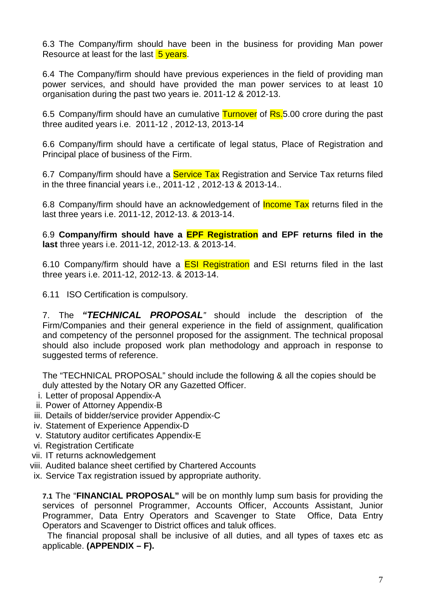6.3 The Company/firm should have been in the business for providing Man power Resource at least for the last 5 years.

6.4 The Company/firm should have previous experiences in the field of providing man power services, and should have provided the man power services to at least 10 organisation during the past two years ie. 2011-12 & 2012-13.

6.5 Company/firm should have an cumulative Turnover of Rs. 5.00 crore during the past three audited years i.e. 2011-12 , 2012-13, 2013-14

6.6 Company/firm should have a certificate of legal status, Place of Registration and Principal place of business of the Firm.

6.7 Company/firm should have a **Service Tax** Registration and Service Tax returns filed in the three financial years i.e., 2011-12 , 2012-13 & 2013-14..

6.8 Company/firm should have an acknowledgement of **Income Tax** returns filed in the last three years i.e. 2011-12, 2012-13. & 2013-14.

6.9 **Company/firm should have a EPF Registration and EPF returns filed in the last** three years i.e. 2011-12, 2012-13. & 2013-14.

6.10 Company/firm should have a **ESI Registration** and ESI returns filed in the last three years i.e. 2011-12, 2012-13. & 2013-14.

6.11 ISO Certification is compulsory.

7. The *"TECHNICAL PROPOSAL"* should include the description of the Firm/Companies and their general experience in the field of assignment, qualification and competency of the personnel proposed for the assignment. The technical proposal should also include proposed work plan methodology and approach in response to suggested terms of reference.

The "TECHNICAL PROPOSAL" should include the following & all the copies should be duly attested by the Notary OR any Gazetted Officer.

- i. Letter of proposal Appendix-A
- ii. Power of Attorney Appendix-B
- iii. Details of bidder/service provider Appendix-C
- iv. Statement of Experience Appendix-D
- v. Statutory auditor certificates Appendix-E
- vi. Registration Certificate
- vii. IT returns acknowledgement
- viii. Audited balance sheet certified by Chartered Accounts
- ix. Service Tax registration issued by appropriate authority.

**7.1** The "**FINANCIAL PROPOSAL"** will be on monthly lump sum basis for providing the services of personnel Programmer, Accounts Officer, Accounts Assistant, Junior Programmer, Data Entry Operators and Scavenger to State Office, Data Entry Operators and Scavenger to District offices and taluk offices.

 The financial proposal shall be inclusive of all duties, and all types of taxes etc as applicable. **(APPENDIX – F).**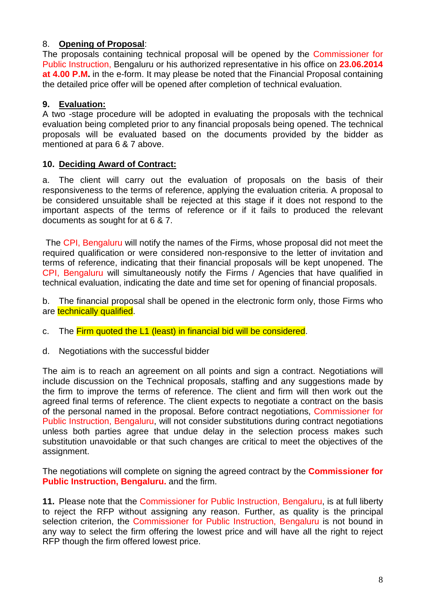## 8. **Opening of Proposal**:

The proposals containing technical proposal will be opened by the Commissioner for Public Instruction, Bengaluru or his authorized representative in his office on **23.06.2014 at 4.00 P.M.** in the e-form. It may please be noted that the Financial Proposal containing the detailed price offer will be opened after completion of technical evaluation.

## **9. Evaluation:**

A two -stage procedure will be adopted in evaluating the proposals with the technical evaluation being completed prior to any financial proposals being opened. The technical proposals will be evaluated based on the documents provided by the bidder as mentioned at para 6 & 7 above.

#### **10. Deciding Award of Contract:**

a. The client will carry out the evaluation of proposals on the basis of their responsiveness to the terms of reference, applying the evaluation criteria. A proposal to be considered unsuitable shall be rejected at this stage if it does not respond to the important aspects of the terms of reference or if it fails to produced the relevant documents as sought for at 6 & 7.

The CPI, Bengaluru will notify the names of the Firms, whose proposal did not meet the required qualification or were considered non-responsive to the letter of invitation and terms of reference, indicating that their financial proposals will be kept unopened. The CPI, Bengaluru will simultaneously notify the Firms / Agencies that have qualified in technical evaluation, indicating the date and time set for opening of financial proposals.

b. The financial proposal shall be opened in the electronic form only, those Firms who are technically qualified.

c. The Firm quoted the L1 (least) in financial bid will be considered.

d. Negotiations with the successful bidder

The aim is to reach an agreement on all points and sign a contract. Negotiations will include discussion on the Technical proposals, staffing and any suggestions made by the firm to improve the terms of reference. The client and firm will then work out the agreed final terms of reference. The client expects to negotiate a contract on the basis of the personal named in the proposal. Before contract negotiations, Commissioner for Public Instruction, Bengaluru, will not consider substitutions during contract negotiations unless both parties agree that undue delay in the selection process makes such substitution unavoidable or that such changes are critical to meet the objectives of the assignment.

The negotiations will complete on signing the agreed contract by the **Commissioner for Public Instruction, Bengaluru.** and the firm.

**11.** Please note that the Commissioner for Public Instruction, Bengaluru, is at full liberty to reject the RFP without assigning any reason. Further, as quality is the principal selection criterion, the Commissioner for Public Instruction, Bengaluru is not bound in any way to select the firm offering the lowest price and will have all the right to reject RFP though the firm offered lowest price.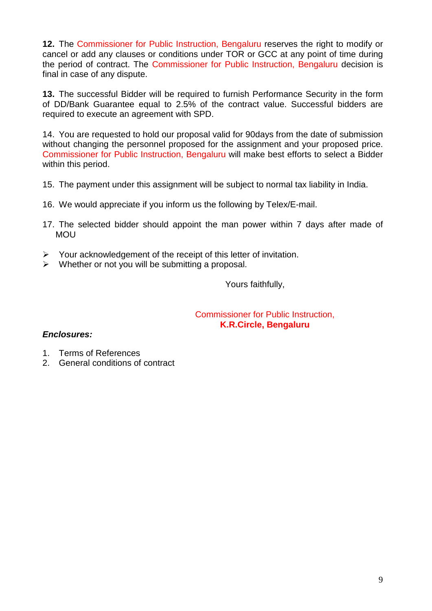**12.** The Commissioner for Public Instruction, Bengaluru reserves the right to modify or cancel or add any clauses or conditions under TOR or GCC at any point of time during the period of contract. The Commissioner for Public Instruction, Bengaluru decision is final in case of any dispute.

**13.** The successful Bidder will be required to furnish Performance Security in the form of DD/Bank Guarantee equal to 2.5% of the contract value. Successful bidders are required to execute an agreement with SPD.

14. You are requested to hold our proposal valid for 90days from the date of submission without changing the personnel proposed for the assignment and your proposed price. Commissioner for Public Instruction, Bengaluru will make best efforts to select a Bidder within this period.

- 15. The payment under this assignment will be subject to normal tax liability in India.
- 16. We would appreciate if you inform us the following by Telex/E-mail.
- 17. The selected bidder should appoint the man power within 7 days after made of MOU
- $\triangleright$  Your acknowledgement of the receipt of this letter of invitation.
- $\triangleright$  Whether or not you will be submitting a proposal.

Yours faithfully,

Commissioner for Public Instruction, **K.R.Circle, Bengaluru**

## *Enclosures:*

- 1. Terms of References
- 2. General conditions of contract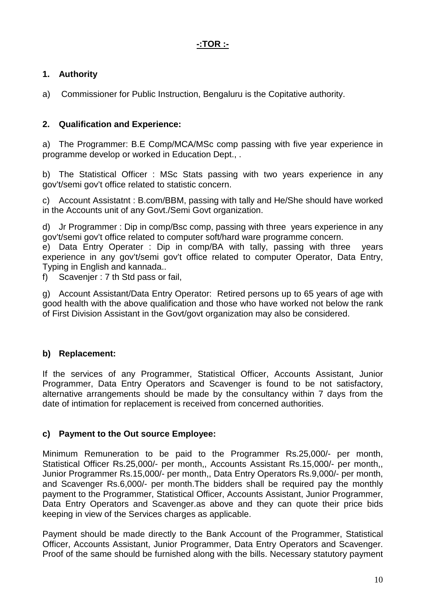## **1. Authority**

a) Commissioner for Public Instruction, Bengaluru is the Copitative authority.

## **2. Qualification and Experience:**

a) The Programmer: B.E Comp/MCA/MSc comp passing with five year experience in programme develop or worked in Education Dept., .

b) The Statistical Officer : MSc Stats passing with two years experience in any gov't/semi gov't office related to statistic concern.

c) Account Assistatnt : B.com/BBM, passing with tally and He/She should have worked in the Accounts unit of any Govt./Semi Govt organization.

d) Jr Programmer : Dip in comp/Bsc comp, passing with three years experience in any gov't/semi gov't office related to computer soft/hard ware programme concern.

e) Data Entry Operater : Dip in comp/BA with tally, passing with three years experience in any gov't/semi gov't office related to computer Operator, Data Entry, Typing in English and kannada..

f) Scavenjer : 7 th Std pass or fail,

g) Account Assistant/Data Entry Operator: Retired persons up to 65 years of age with good health with the above qualification and those who have worked not below the rank of First Division Assistant in the Govt/govt organization may also be considered.

## **b) Replacement:**

If the services of any Programmer, Statistical Officer, Accounts Assistant, Junior Programmer, Data Entry Operators and Scavenger is found to be not satisfactory, alternative arrangements should be made by the consultancy within 7 days from the date of intimation for replacement is received from concerned authorities.

## **c) Payment to the Out source Employee:**

Minimum Remuneration to be paid to the Programmer Rs.25,000/- per month, Statistical Officer Rs.25,000/- per month,, Accounts Assistant Rs.15,000/- per month,, Junior Programmer Rs.15,000/- per month,, Data Entry Operators Rs.9,000/- per month, and Scavenger Rs.6,000/- per month.The bidders shall be required pay the monthly payment to the Programmer, Statistical Officer, Accounts Assistant, Junior Programmer, Data Entry Operators and Scavenger.as above and they can quote their price bids keeping in view of the Services charges as applicable.

Payment should be made directly to the Bank Account of the Programmer, Statistical Officer, Accounts Assistant, Junior Programmer, Data Entry Operators and Scavenger. Proof of the same should be furnished along with the bills. Necessary statutory payment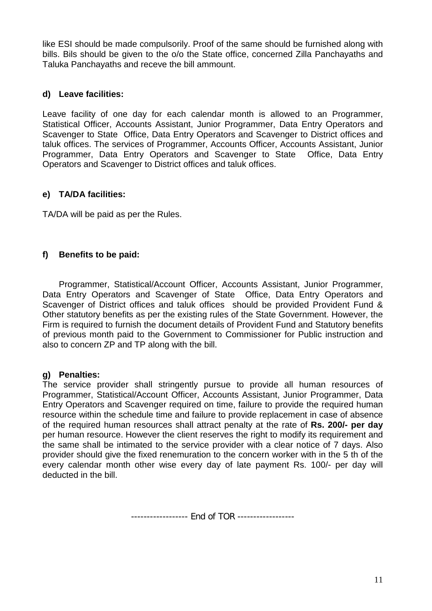like ESI should be made compulsorily. Proof of the same should be furnished along with bills. Bils should be given to the o/o the State office, concerned Zilla Panchayaths and Taluka Panchayaths and receve the bill ammount.

## **d) Leave facilities:**

Leave facility of one day for each calendar month is allowed to an Programmer, Statistical Officer, Accounts Assistant, Junior Programmer, Data Entry Operators and Scavenger to State Office, Data Entry Operators and Scavenger to District offices and taluk offices. The services of Programmer, Accounts Officer, Accounts Assistant, Junior Programmer, Data Entry Operators and Scavenger to State Office, Data Entry Operators and Scavenger to District offices and taluk offices.

#### **e) TA/DA facilities:**

TA/DA will be paid as per the Rules.

## **f) Benefits to be paid:**

Programmer, Statistical/Account Officer, Accounts Assistant, Junior Programmer, Data Entry Operators and Scavenger of State Office, Data Entry Operators and Scavenger of District offices and taluk offices should be provided Provident Fund & Other statutory benefits as per the existing rules of the State Government. However, the Firm is required to furnish the document details of Provident Fund and Statutory benefits of previous month paid to the Government to Commissioner for Public instruction and also to concern ZP and TP along with the bill.

#### **g) Penalties:**

The service provider shall stringently pursue to provide all human resources of Programmer, Statistical/Account Officer, Accounts Assistant, Junior Programmer, Data Entry Operators and Scavenger required on time, failure to provide the required human resource within the schedule time and failure to provide replacement in case of absence of the required human resources shall attract penalty at the rate of **Rs. 200/- per day** per human resource. However the client reserves the right to modify its requirement and the same shall be intimated to the service provider with a clear notice of 7 days. Also provider should give the fixed renemuration to the concern worker with in the 5 th of the every calendar month other wise every day of late payment Rs. 100/- per day will deducted in the bill.

------------------ End of TOR ------------------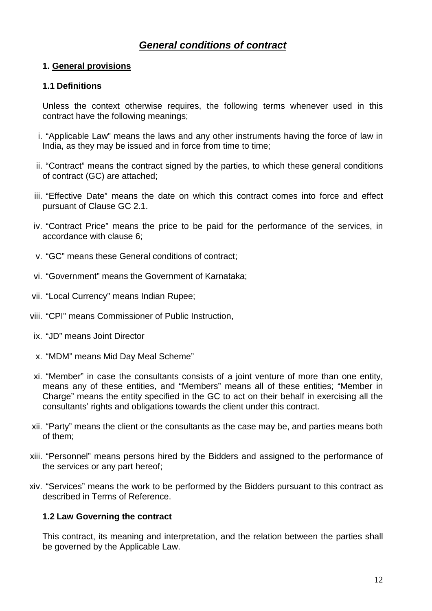## *General conditions of contract*

## **1. General provisions**

#### **1.1 Definitions**

Unless the context otherwise requires, the following terms whenever used in this contract have the following meanings;

- i. "Applicable Law" means the laws and any other instruments having the force of law in India, as they may be issued and in force from time to time;
- ii. "Contract" means the contract signed by the parties, to which these general conditions of contract (GC) are attached;
- iii. "Effective Date" means the date on which this contract comes into force and effect pursuant of Clause GC 2.1.
- iv. "Contract Price" means the price to be paid for the performance of the services, in accordance with clause 6;
- v. "GC" means these General conditions of contract;
- vi. "Government" means the Government of Karnataka;
- vii. "Local Currency" means Indian Rupee;
- viii. "CPI" means Commissioner of Public Instruction,
- ix. "JD" means Joint Director
- x. "MDM" means Mid Day Meal Scheme"
- xi. "Member" in case the consultants consists of a joint venture of more than one entity, means any of these entities, and "Members" means all of these entities; "Member in Charge" means the entity specified in the GC to act on their behalf in exercising all the consultants' rights and obligations towards the client under this contract.
- xii. "Party" means the client or the consultants as the case may be, and parties means both of them;
- xiii. "Personnel" means persons hired by the Bidders and assigned to the performance of the services or any part hereof;
- xiv. "Services" means the work to be performed by the Bidders pursuant to this contract as described in Terms of Reference.

## **1.2 Law Governing the contract**

This contract, its meaning and interpretation, and the relation between the parties shall be governed by the Applicable Law.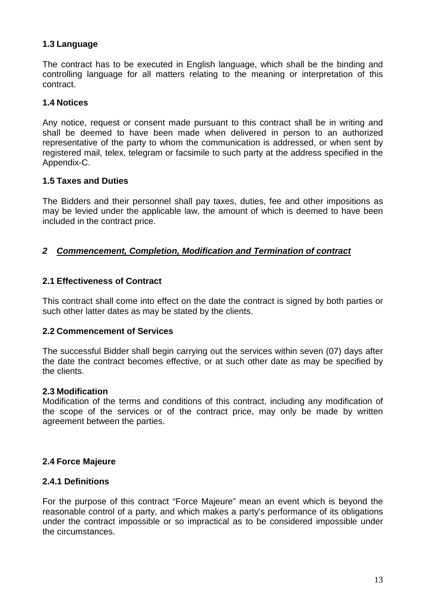## **1.3 Language**

The contract has to be executed in English language, which shall be the binding and controlling language for all matters relating to the meaning or interpretation of this contract.

#### **1.4 Notices**

Any notice, request or consent made pursuant to this contract shall be in writing and shall be deemed to have been made when delivered in person to an authorized representative of the party to whom the communication is addressed, or when sent by registered mail, telex, telegram or facsimile to such party at the address specified in the Appendix-C.

#### **1.5 Taxes and Duties**

The Bidders and their personnel shall pay taxes, duties, fee and other impositions as may be levied under the applicable law, the amount of which is deemed to have been included in the contract price.

#### *2 Commencement, Completion, Modification and Termination of contract*

#### **2.1 Effectiveness of Contract**

This contract shall come into effect on the date the contract is signed by both parties or such other latter dates as may be stated by the clients.

#### **2.2 Commencement of Services**

The successful Bidder shall begin carrying out the services within seven (07) days after the date the contract becomes effective, or at such other date as may be specified by the clients.

#### **2.3 Modification**

Modification of the terms and conditions of this contract, including any modification of the scope of the services or of the contract price, may only be made by written agreement between the parties.

#### **2.4 Force Majeure**

#### **2.4.1 Definitions**

For the purpose of this contract "Force Majeure" mean an event which is beyond the reasonable control of a party, and which makes a party's performance of its obligations under the contract impossible or so impractical as to be considered impossible under the circumstances.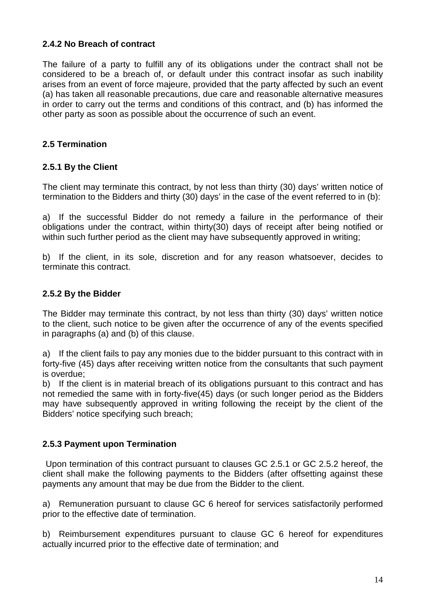## **2.4.2 No Breach of contract**

The failure of a party to fulfill any of its obligations under the contract shall not be considered to be a breach of, or default under this contract insofar as such inability arises from an event of force majeure, provided that the party affected by such an event (a) has taken all reasonable precautions, due care and reasonable alternative measures in order to carry out the terms and conditions of this contract, and (b) has informed the other party as soon as possible about the occurrence of such an event.

## **2.5 Termination**

#### **2.5.1 By the Client**

The client may terminate this contract, by not less than thirty (30) days' written notice of termination to the Bidders and thirty (30) days' in the case of the event referred to in (b):

a) If the successful Bidder do not remedy a failure in the performance of their obligations under the contract, within thirty(30) days of receipt after being notified or within such further period as the client may have subsequently approved in writing;

b) If the client, in its sole, discretion and for any reason whatsoever, decides to terminate this contract.

#### **2.5.2 By the Bidder**

The Bidder may terminate this contract, by not less than thirty (30) days' written notice to the client, such notice to be given after the occurrence of any of the events specified in paragraphs (a) and (b) of this clause.

a) If the client fails to pay any monies due to the bidder pursuant to this contract with in forty-five (45) days after receiving written notice from the consultants that such payment is overdue;

b) If the client is in material breach of its obligations pursuant to this contract and has not remedied the same with in forty-five(45) days (or such longer period as the Bidders may have subsequently approved in writing following the receipt by the client of the Bidders' notice specifying such breach;

#### **2.5.3 Payment upon Termination**

Upon termination of this contract pursuant to clauses GC 2.5.1 or GC 2.5.2 hereof, the client shall make the following payments to the Bidders (after offsetting against these payments any amount that may be due from the Bidder to the client.

a) Remuneration pursuant to clause GC 6 hereof for services satisfactorily performed prior to the effective date of termination.

b) Reimbursement expenditures pursuant to clause GC 6 hereof for expenditures actually incurred prior to the effective date of termination; and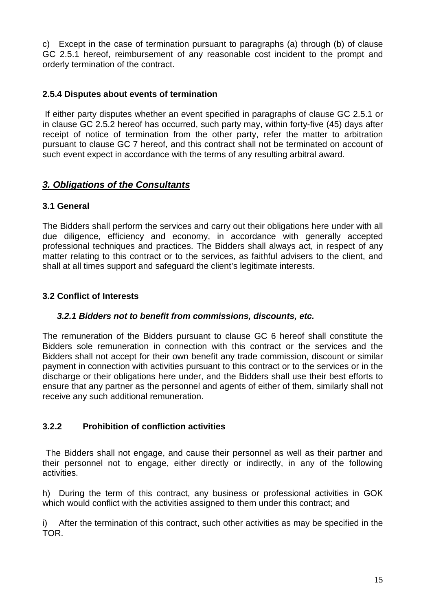c) Except in the case of termination pursuant to paragraphs (a) through (b) of clause GC 2.5.1 hereof, reimbursement of any reasonable cost incident to the prompt and orderly termination of the contract.

## **2.5.4 Disputes about events of termination**

If either party disputes whether an event specified in paragraphs of clause GC 2.5.1 or in clause GC 2.5.2 hereof has occurred, such party may, within forty-five (45) days after receipt of notice of termination from the other party, refer the matter to arbitration pursuant to clause GC 7 hereof, and this contract shall not be terminated on account of such event expect in accordance with the terms of any resulting arbitral award.

## *3. Obligations of the Consultants*

## **3.1 General**

The Bidders shall perform the services and carry out their obligations here under with all due diligence, efficiency and economy, in accordance with generally accepted professional techniques and practices. The Bidders shall always act, in respect of any matter relating to this contract or to the services, as faithful advisers to the client, and shall at all times support and safeguard the client's legitimate interests.

## **3.2 Conflict of Interests**

## *3.2.1 Bidders not to benefit from commissions, discounts, etc.*

The remuneration of the Bidders pursuant to clause GC 6 hereof shall constitute the Bidders sole remuneration in connection with this contract or the services and the Bidders shall not accept for their own benefit any trade commission, discount or similar payment in connection with activities pursuant to this contract or to the services or in the discharge or their obligations here under, and the Bidders shall use their best efforts to ensure that any partner as the personnel and agents of either of them, similarly shall not receive any such additional remuneration.

## **3.2.2 Prohibition of confliction activities**

The Bidders shall not engage, and cause their personnel as well as their partner and their personnel not to engage, either directly or indirectly, in any of the following activities.

h) During the term of this contract, any business or professional activities in GOK which would conflict with the activities assigned to them under this contract; and

i) After the termination of this contract, such other activities as may be specified in the TOR.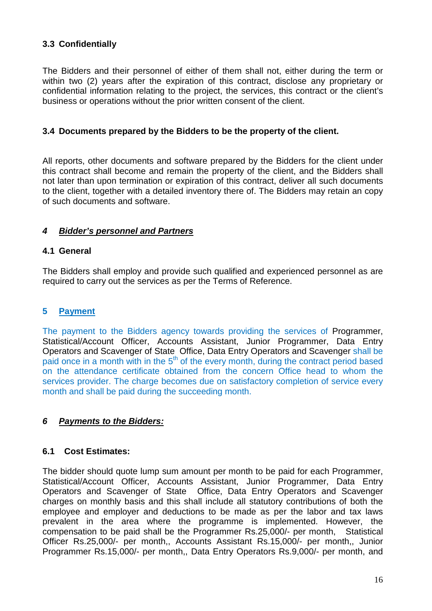## **3.3 Confidentially**

The Bidders and their personnel of either of them shall not, either during the term or within two (2) years after the expiration of this contract, disclose any proprietary or confidential information relating to the project, the services, this contract or the client's business or operations without the prior written consent of the client.

#### **3.4 Documents prepared by the Bidders to be the property of the client.**

All reports, other documents and software prepared by the Bidders for the client under this contract shall become and remain the property of the client, and the Bidders shall not later than upon termination or expiration of this contract, deliver all such documents to the client, together with a detailed inventory there of. The Bidders may retain an copy of such documents and software.

## *4 Bidder's personnel and Partners*

#### **4.1 General**

The Bidders shall employ and provide such qualified and experienced personnel as are required to carry out the services as per the Terms of Reference.

## **5 Payment**

The payment to the Bidders agency towards providing the services of Programmer, Statistical/Account Officer, Accounts Assistant, Junior Programmer, Data Entry Operators and Scavenger of State Office, Data Entry Operators and Scavenger shall be paid once in a month with in the  $5<sup>th</sup>$  of the every month, during the contract period based on the attendance certificate obtained from the concern Office head to whom the services provider. The charge becomes due on satisfactory completion of service every month and shall be paid during the succeeding month.

## *6 Payments to the Bidders:*

#### **6.1 Cost Estimates:**

The bidder should quote lump sum amount per month to be paid for each Programmer, Statistical/Account Officer, Accounts Assistant, Junior Programmer, Data Entry Operators and Scavenger of State Office, Data Entry Operators and Scavenger charges on monthly basis and this shall include all statutory contributions of both the employee and employer and deductions to be made as per the labor and tax laws prevalent in the area where the programme is implemented. However, the compensation to be paid shall be the Programmer Rs.25,000/- per month, Statistical Officer Rs.25,000/- per month,, Accounts Assistant Rs.15,000/- per month,, Junior Programmer Rs.15,000/- per month,, Data Entry Operators Rs.9,000/- per month, and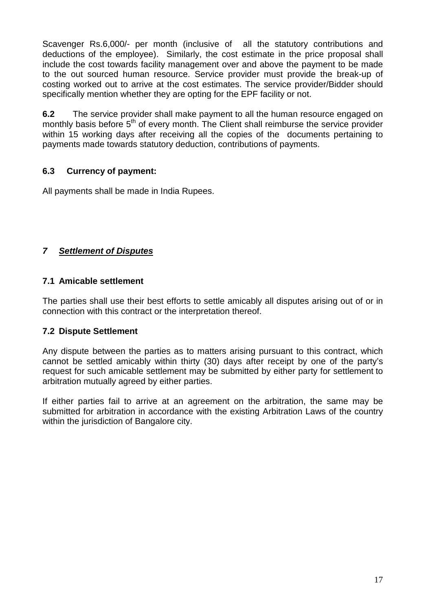Scavenger Rs.6,000/- per month (inclusive of all the statutory contributions and deductions of the employee). Similarly, the cost estimate in the price proposal shall include the cost towards facility management over and above the payment to be made to the out sourced human resource. Service provider must provide the break-up of costing worked out to arrive at the cost estimates. The service provider/Bidder should specifically mention whether they are opting for the EPF facility or not.

**6.2** The service provider shall make payment to all the human resource engaged on monthly basis before 5<sup>th</sup> of every month. The Client shall reimburse the service provider within 15 working days after receiving all the copies of the documents pertaining to payments made towards statutory deduction, contributions of payments.

## **6.3 Currency of payment:**

All payments shall be made in India Rupees.

## *7 Settlement of Disputes*

#### **7.1 Amicable settlement**

The parties shall use their best efforts to settle amicably all disputes arising out of or in connection with this contract or the interpretation thereof.

## **7.2 Dispute Settlement**

Any dispute between the parties as to matters arising pursuant to this contract, which cannot be settled amicably within thirty (30) days after receipt by one of the party's request for such amicable settlement may be submitted by either party for settlement to arbitration mutually agreed by either parties.

If either parties fail to arrive at an agreement on the arbitration, the same may be submitted for arbitration in accordance with the existing Arbitration Laws of the country within the jurisdiction of Bangalore city.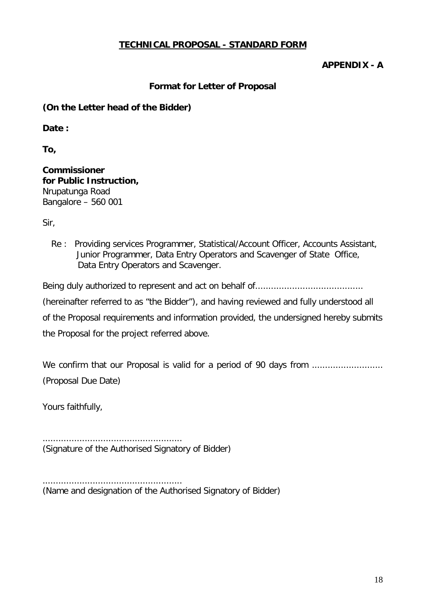## **TECHNICAL PROPOSAL - STANDARD FORM**

#### **APPENDIX - A**

#### **Format for Letter of Proposal**

## **(On the Letter head of the Bidder)**

**Date :**

**To,**

**Commissioner for Public Instruction,** Nrupatunga Road Bangalore – 560 001

Sir,

Re : Providing services Programmer, Statistical/Account Officer, Accounts Assistant, Junior Programmer, Data Entry Operators and Scavenger of State Office, Data Entry Operators and Scavenger.

Being duly authorized to represent and act on behalf of.........................................

(hereinafter referred to as "the Bidder"), and having reviewed and fully understood all

of the Proposal requirements and information provided, the undersigned hereby submits the Proposal for the project referred above.

We confirm that our Proposal is valid for a period of 90 days from ........................... (Proposal Due Date)

Yours faithfully,

..................................................... (Signature of the Authorised Signatory of Bidder)

..................................................... (Name and designation of the Authorised Signatory of Bidder)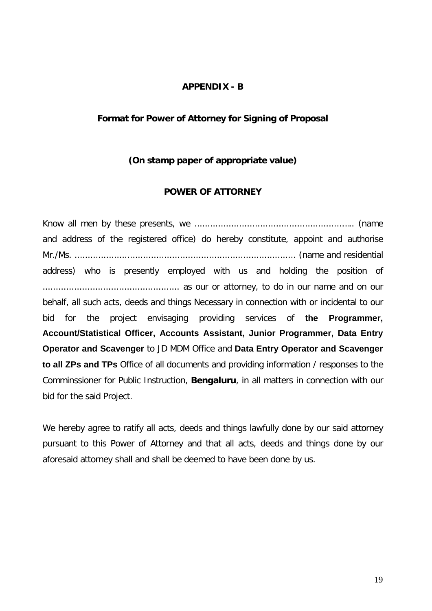#### **APPENDIX - B**

#### **Format for Power of Attorney for Signing of Proposal**

#### **(On stamp paper of appropriate value)**

#### **POWER OF ATTORNEY**

Know all men by these presents, we ........................................................….. (name and address of the registered office) do hereby constitute, appoint and authorise Mr./Ms. .................................................................................... (name and residential address) who is presently employed with us and holding the position of .................................................... as our or attorney, to do in our name and on our behalf, all such acts, deeds and things Necessary in connection with or incidental to our bid for the project envisaging providing services of **the Programmer, Account/Statistical Officer, Accounts Assistant, Junior Programmer, Data Entry Operator and Scavenger** to JD MDM Office and **Data Entry Operator and Scavenger to all ZPs and TPs** Office of all documents and providing information / responses to the Comminssioner for Public Instruction, **Bengaluru**, in all matters in connection with our bid for the said Project.

We hereby agree to ratify all acts, deeds and things lawfully done by our said attorney pursuant to this Power of Attorney and that all acts, deeds and things done by our aforesaid attorney shall and shall be deemed to have been done by us.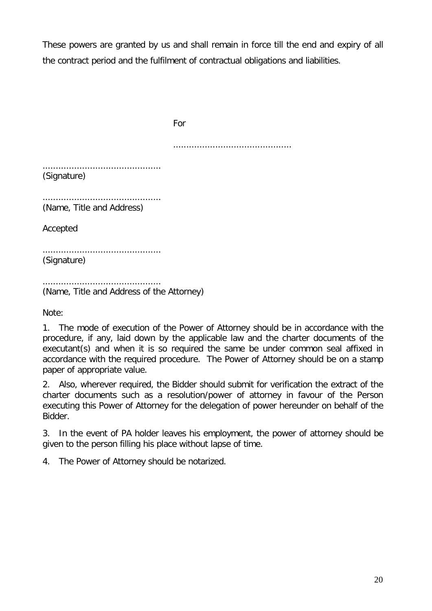These powers are granted by us and shall remain in force till the end and expiry of all the contract period and the fulfilment of contractual obligations and liabilities.

For ............................................. ............................................. (Signature) ............................................. (Name, Title and Address) Accepted ............................................. (Signature) ............................................. (Name, Title and Address of the Attorney)

Note:

1. The mode of execution of the Power of Attorney should be in accordance with the procedure, if any, laid down by the applicable law and the charter documents of the executant(s) and when it is so required the same be under common seal affixed in accordance with the required procedure. The Power of Attorney should be on a stamp paper of appropriate value.

2. Also, wherever required, the Bidder should submit for verification the extract of the charter documents such as a resolution/power of attorney in favour of the Person executing this Power of Attorney for the delegation of power hereunder on behalf of the Bidder.

3. In the event of PA holder leaves his employment, the power of attorney should be given to the person filling his place without lapse of time.

4. The Power of Attorney should be notarized.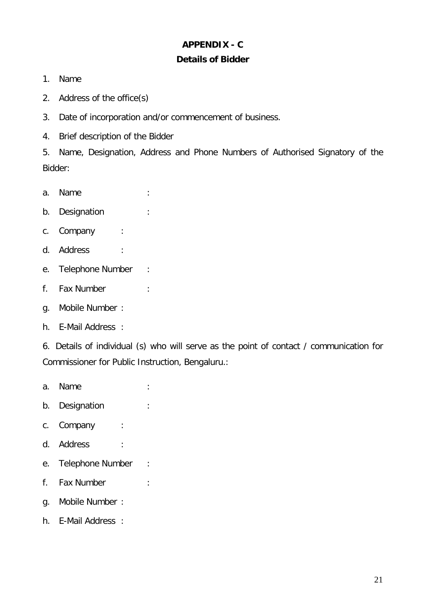## **APPENDIX - C Details of Bidder**

- 1. Name
- 2. Address of the office(s)
- 3. Date of incorporation and/or commencement of business.
- 4. Brief description of the Bidder

5. Name, Designation, Address and Phone Numbers of Authorised Signatory of the Bidder:

- a. Name :
- b. Designation :
- c. Company :
- d. Address :
- e. Telephone Number :
- f. Fax Number :
- g. Mobile Number :
- h. E-Mail Address :

6. Details of individual (s) who will serve as the point of contact / communication for Commissioner for Public Instruction, Bengaluru.:

- a. Name :
- b. Designation :
- c. Company :
- d. Address :
- e. Telephone Number :
- f. Fax Number :
- g. Mobile Number :
- h. E-Mail Address :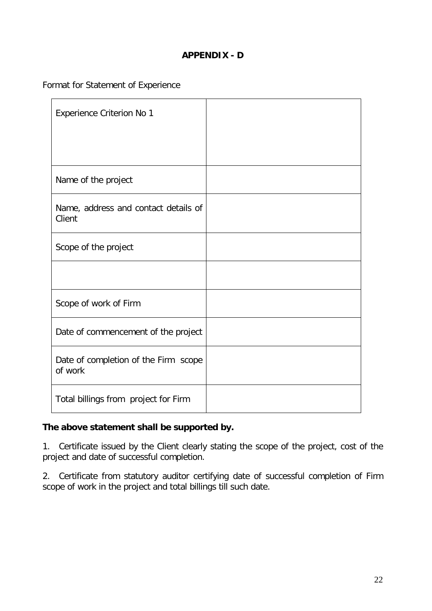## **APPENDIX - D**

Format for Statement of Experience

| <b>Experience Criterion No 1</b>                |  |
|-------------------------------------------------|--|
|                                                 |  |
| Name of the project                             |  |
| Name, address and contact details of<br>Client  |  |
| Scope of the project                            |  |
|                                                 |  |
| Scope of work of Firm                           |  |
| Date of commencement of the project             |  |
| Date of completion of the Firm scope<br>of work |  |
| Total billings from project for Firm            |  |

## **The above statement shall be supported by.**

1. Certificate issued by the Client clearly stating the scope of the project, cost of the project and date of successful completion.

2. Certificate from statutory auditor certifying date of successful completion of Firm scope of work in the project and total billings till such date.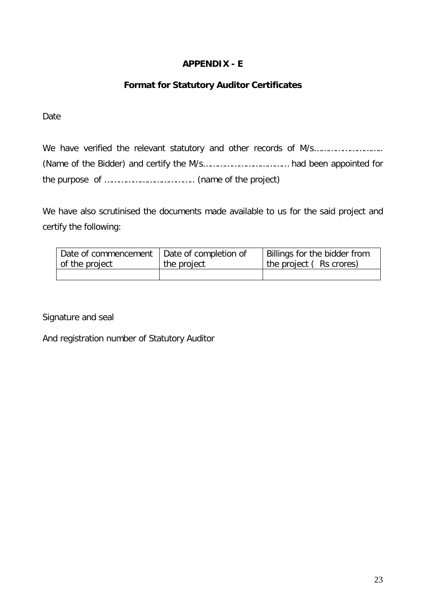## **APPENDIX - E**

## **Format for Statutory Auditor Certificates**

Date

We have verified the relevant statutory and other records of M/s……………………….. (Name of the Bidder) and certify the M/s……………………………… had been appointed for the purpose of ……………………………….. (name of the project)

We have also scrutinised the documents made available to us for the said project and certify the following:

| Date of commencement   Date of completion of | Billings for the bidder from |
|----------------------------------------------|------------------------------|
|                                              | the project (Rs crores)      |
|                                              |                              |
|                                              | the project                  |

Signature and seal

And registration number of Statutory Auditor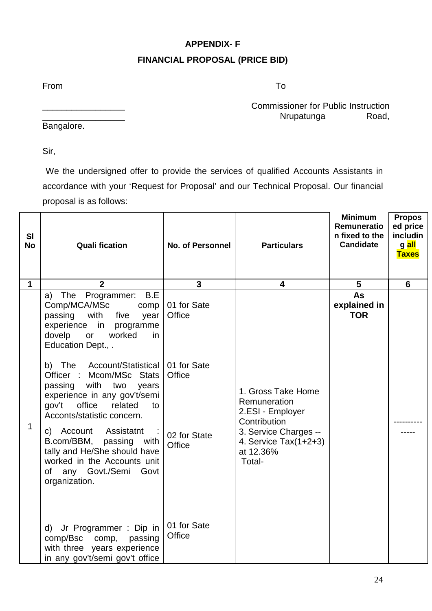## **APPENDIX- F FINANCIAL PROPOSAL (PRICE BID)**

From To

Commissioner for Public Instruction<br>Nrupatunga Road, Nrupatunga

Bangalore.

Sir,

We the undersigned offer to provide the services of qualified Accounts Assistants in accordance with your 'Request for Proposal' and our Technical Proposal. Our financial proposal is as follows:

| <b>SI</b><br><b>No</b> | <b>Quali fication</b>                                                                                                                                                                                     | <b>No. of Personnel</b> | <b>Particulars</b>                                                                                                                                | <b>Minimum</b><br>Remuneratio<br>n fixed to the<br><b>Candidate</b> | <b>Propos</b><br>ed price<br>includin<br>g <mark>all</mark><br><b>Taxes</b> |
|------------------------|-----------------------------------------------------------------------------------------------------------------------------------------------------------------------------------------------------------|-------------------------|---------------------------------------------------------------------------------------------------------------------------------------------------|---------------------------------------------------------------------|-----------------------------------------------------------------------------|
| 1                      | $\mathbf{2}$                                                                                                                                                                                              | $\overline{3}$          | 4                                                                                                                                                 | 5                                                                   | 6                                                                           |
| 1                      | a) The Programmer: B.E<br>Comp/MCA/MSc<br>comp<br>passing<br>with<br>five<br>year<br>experience in<br>programme<br>dovelp<br>worked<br>or<br>in<br>Education Dept., .                                     | 01 for Sate<br>Office   | 1. Gross Take Home<br>Remuneration<br>2.ESI - Employer<br>Contribution<br>3. Service Charges --<br>4. Service $Tax(1+2+3)$<br>at 12.36%<br>Total- | As<br>explained in<br><b>TOR</b>                                    |                                                                             |
|                        | Account/Statistical   01 for Sate<br>b) The<br>Officer : Mcom/MSc Stats<br>with<br>passing<br>two<br>years<br>experience in any gov't/semi<br>gov't office<br>related<br>to<br>Acconts/statistic concern. | Office                  |                                                                                                                                                   |                                                                     |                                                                             |
|                        | c) Account Assistatnt<br>B.com/BBM, passing<br>with<br>tally and He/She should have<br>worked in the Accounts unit<br>of any Govt./Semi<br>Govt<br>organization.                                          | 02 for State<br>Office  |                                                                                                                                                   |                                                                     |                                                                             |
|                        | d) Jr Programmer : Dip in<br>comp/Bsc comp,<br>passing<br>with three years experience<br>in any gov't/semi gov't office                                                                                   | 01 for Sate<br>Office   |                                                                                                                                                   |                                                                     |                                                                             |